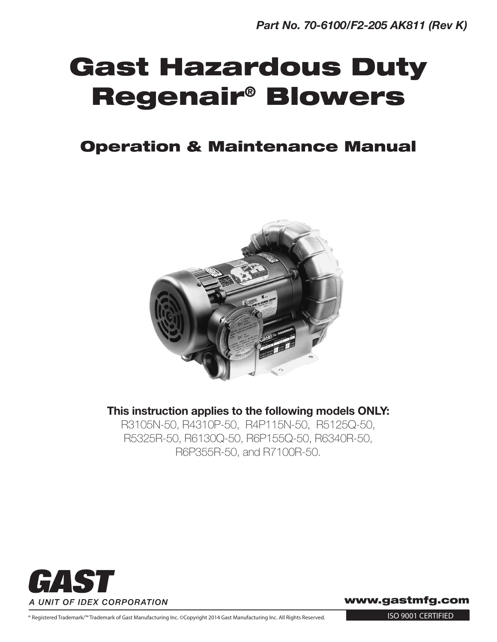# Gast Hazardous Duty Regenair® Blowers

### Operation & Maintenance Manual



This instruction applies to the following models ONLY:

R3105N-50, R4310P-50, R4P115N-50, R5125Q-50, R5325R-50, R6130Q-50, R6P155Q-50, R6340R-50, R6P355R-50, and R7100R-50.



www.gastmfg.com

® Registered Trademark/™ Trademark of Gast Manufacturing Inc. ©Copyright 2014 Gast Manufacturing Inc. All Rights Reserved.

ISO 9001 CERTIFIED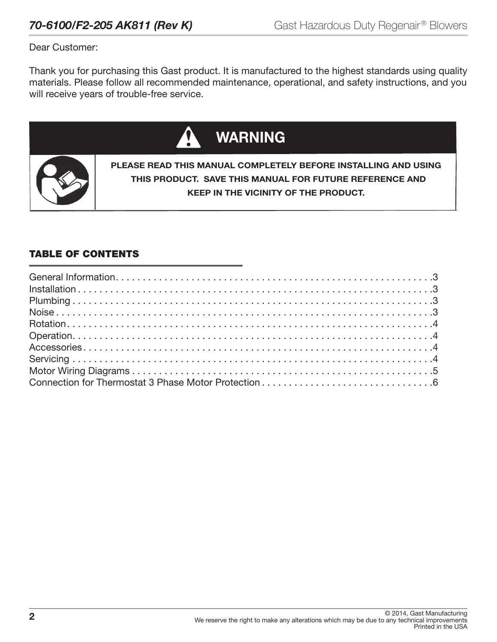Dear Customer:

Thank you for purchasing this Gast product. It is manufactured to the highest standards using quality materials. Please follow all recommended maintenance, operational, and safety instructions, and you will receive years of trouble-free service.



#### TABLE OF CONTENTS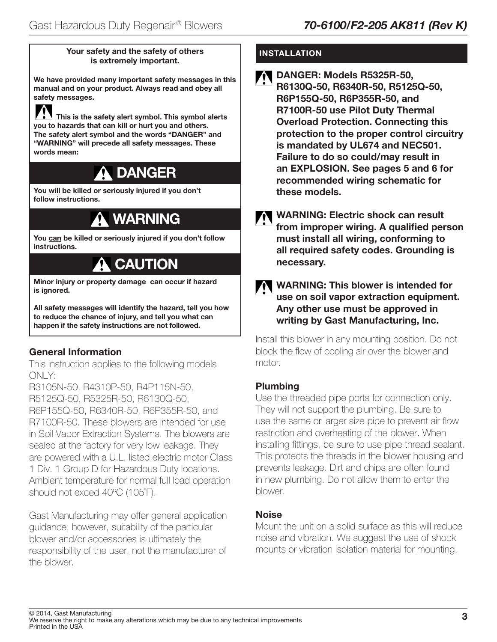#### Your safety and the safety of others is extremely important.

We have provided many important safety messages in this manual and on your product. Always read and obey all safety messages.

 This is the safety alert symbol. This symbol alerts you to hazards that can kill or hurt you and others. The safety alert symbol and the words "DANGER" and "WARNING" will precede all safety messages. These words mean:

# DANGER

You will be killed or seriously injured if you don't follow instructions.

# WARNING

You can be killed or seriously injured if you don't follow instructions.

## **CAUTION**

Minor injury or property damage can occur if hazard is ignored.

All safety messages will identify the hazard, tell you how to reduce the chance of injury, and tell you what can happen if the safety instructions are not followed.

### General Information

i

This instruction applies to the following models ONLY:

R3105N-50, R4310P-50, R4P115N-50, R5125Q-50, R5325R-50, R6130Q-50, R6P155Q-50, R6340R-50, R6P355R-50, and R7100R-50. These blowers are intended for use in Soil Vapor Extraction Systems. The blowers are sealed at the factory for very low leakage. They are powered with a U.L. listed electric motor Class 1 Div. 1 Group D for Hazardous Duty locations. Ambient temperature for normal full load operation should not exced 40°C (105°F).

Gast Manufacturing may offer general application guidance; however, suitability of the particular blower and/or accessories is ultimately the responsibility of the user, not the manufacturer of the blower.

#### INSTALLATION

- DANGER: Models R5325R-50, R6130Q-50, R6340R-50, R5125Q-50, R6P155Q-50, R6P355R-50, and R7100R-50 use Pilot Duty Thermal Overload Protection. Connecting this protection to the proper control circuitry is mandated by UL674 and NEC501. Failure to do so could/may result in an EXPLOSION. See pages 5 and 6 for recommended wiring schematic for these models.
- WARNING: Electric shock can result from improper wiring. A qualified person must install all wiring, conforming to all required safety codes. Grounding is necessary.

#### WARNING: This blower is intended for use on soil vapor extraction equipment. Any other use must be approved in writing by Gast Manufacturing, Inc.

Install this blower in any mounting position. Do not block the flow of cooling air over the blower and motor.

#### Plumbing

Use the threaded pipe ports for connection only. They will not support the plumbing. Be sure to use the same or larger size pipe to prevent air flow restriction and overheating of the blower. When installing fittings, be sure to use pipe thread sealant. This protects the threads in the blower housing and prevents leakage. Dirt and chips are often found in new plumbing. Do not allow them to enter the blower.

#### Noise

Mount the unit on a solid surface as this will reduce noise and vibration. We suggest the use of shock mounts or vibration isolation material for mounting.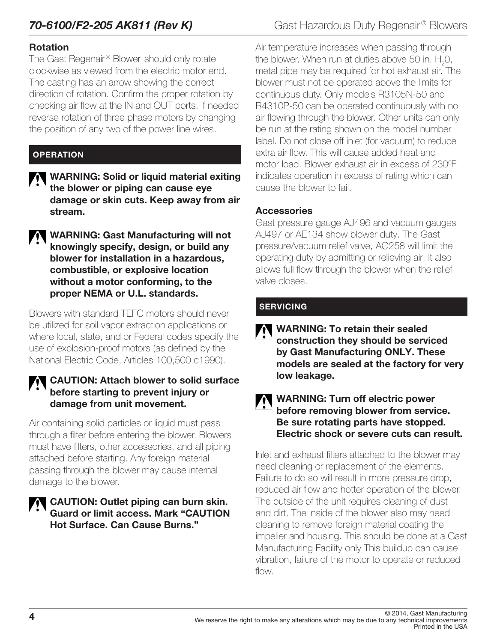#### Rotation

The Gast Regenair<sup>®</sup> Blower should only rotate clockwise as viewed from the electric motor end. The casting has an arrow showing the correct direction of rotation. Confirm the proper rotation by checking air flow at the IN and OUT ports. If needed reverse rotation of three phase motors by changing the position of any two of the power line wires.

#### **OPERATION**

- WARNING: Solid or liquid material exiting the blower or piping can cause eye damage or skin cuts. Keep away from air stream.
- WARNING: Gast Manufacturing will not knowingly specify, design, or build any blower for installation in a hazardous, combustible, or explosive location without a motor conforming, to the proper NEMA or U.L. standards.

Blowers with standard TEFC motors should never be utilized for soil vapor extraction applications or where local, state, and or Federal codes specify the use of explosion-proof motors (as defined by the National Electric Code, Articles 100,500 c1990).

#### CAUTION: Attach blower to solid surface before starting to prevent injury or damage from unit movement.

Air containing solid particles or liquid must pass through a filter before entering the blower. Blowers must have filters, other accessories, and all piping attached before starting. Any foreign material passing through the blower may cause internal damage to the blower.

#### CAUTION: Outlet piping can burn skin. Guard or limit access. Mark "CAUTION Hot Surface. Can Cause Burns."

Air temperature increases when passing through the blower. When run at duties above 50 in.  ${\rm H_2O}$ , metal pipe may be required for hot exhaust air. The blower must not be operated above the limits for continuous duty. Only models R3105N-50 and R4310P-50 can be operated continuously with no air flowing through the blower. Other units can only be run at the rating shown on the model number label. Do not close off inlet (for vacuum) to reduce extra air flow. This will cause added heat and motor load. Blower exhaust air in excess of 230<sup>o</sup>F indicates operation in excess of rating which can cause the blower to fail.

#### **Accessories**

Gast pressure gauge AJ496 and vacuum gauges AJ497 or AE134 show blower duty. The Gast pressure/vacuum relief valve, AG258 will limit the operating duty by admitting or relieving air. It also allows full flow through the blower when the relief valve closes.

#### **SERVICING**

WARNING: To retain their sealed construction they should be serviced by Gast Manufacturing ONLY. These models are sealed at the factory for very low leakage.

#### WARNING: Turn off electric power before removing blower from service. Be sure rotating parts have stopped. Electric shock or severe cuts can result.

Inlet and exhaust filters attached to the blower may need cleaning or replacement of the elements. Failure to do so will result in more pressure drop, reduced air flow and hotter operation of the blower. The outside of the unit requires cleaning of dust and dirt. The inside of the blower also may need cleaning to remove foreign material coating the impeller and housing. This should be done at a Gast Manufacturing Facility only This buildup can cause vibration, failure of the motor to operate or reduced flow.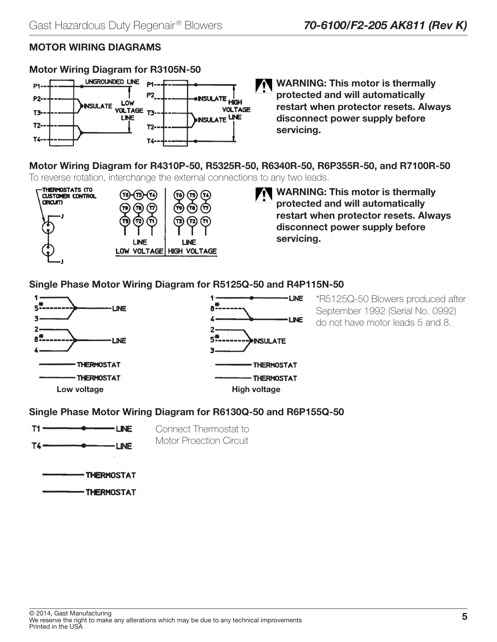### MOTOR WIRING DIAGRAMS

### Motor Wiring Diagram for R3105N-50



WARNING: This motor is thermally protected and will automatically restart when protector resets. Always disconnect power supply before servicing.

Motor Wiring Diagram for R4310P-50, R5325R-50, R6340R-50, R6P355R-50, and R7100R-50 To reverse rotation, interchange the external connections to any two leads.



WARNING: This motor is thermally protected and will automatically restart when protector resets. Always disconnect power supply before servicing.

#### Single Phase Motor Wiring Diagram for R5125Q-50 and R4P115N-50



\*R5125Q-50 Blowers produced after September 1992 (Serial No. 0992) do not have motor leads 5 and 8.

#### Single Phase Motor Wiring Diagram for R6130Q-50 and R6P155Q-50



Connect Thermostat to Motor Proection Circuit